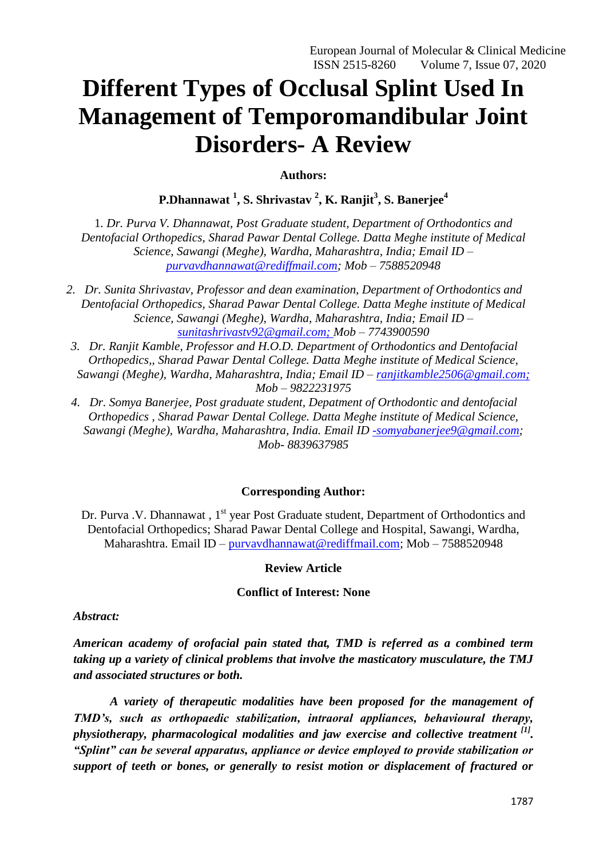# **Different Types of Occlusal Splint Used In Management of Temporomandibular Joint Disorders- A Review**

**Authors:**

**P.Dhannawat <sup>1</sup> , S. Shrivastav <sup>2</sup> , K. Ranjit<sup>3</sup> , S. Banerjee<sup>4</sup>**

1*. Dr. Purva V. Dhannawat, Post Graduate student, Department of Orthodontics and Dentofacial Orthopedics, Sharad Pawar Dental College. Datta Meghe institute of Medical Science, Sawangi (Meghe), Wardha, Maharashtra, India; Email ID – [purvavdhannawat@rediffmail.com;](mailto:purvavdhannawat@rediffmail.com) Mob – 7588520948*

- *2. Dr. Sunita Shrivastav, Professor and dean examination, Department of Orthodontics and Dentofacial Orthopedics, Sharad Pawar Dental College. Datta Meghe institute of Medical Science, Sawangi (Meghe), Wardha, Maharashtra, India; Email ID – [sunitashrivastv92@gmail.com;](mailto:sunitashrivastv92@gmail.com) Mob – 7743900590*
- *3. Dr. Ranjit Kamble, Professor and H.O.D. Department of Orthodontics and Dentofacial Orthopedics,, Sharad Pawar Dental College. Datta Meghe institute of Medical Science, Sawangi (Meghe), Wardha, Maharashtra, India; Email ID – [ranjitkamble2506@gmail.com;](mailto:ranjitkamble2506@gmail.com) Mob – 9822231975*
- *4. Dr. Somya Banerjee, Post graduate student, Depatment of Orthodontic and dentofacial Orthopedics , Sharad Pawar Dental College. Datta Meghe institute of Medical Science, Sawangi (Meghe), Wardha, Maharashtra, India. Email ID [-somyabanerjee9@gmail.com;](mailto:-somyabanerjee9@gmail.com) Mob- 8839637985*

## **Corresponding Author:**

Dr. Purva .V. Dhannawat, 1<sup>st</sup> year Post Graduate student, Department of Orthodontics and Dentofacial Orthopedics; Sharad Pawar Dental College and Hospital, Sawangi, Wardha, Maharashtra. Email ID – [purvavdhannawat@rediffmail.com;](mailto:purvavdhannawat@rediffmail.com) Mob – 7588520948

#### **Review Article**

#### **Conflict of Interest: None**

*Abstract:*

*American academy of orofacial pain stated that, TMD is referred as a combined term taking up a variety of clinical problems that involve the masticatory musculature, the TMJ and associated structures or both.*

 *A variety of therapeutic modalities have been proposed for the management of TMD"s, such as orthopaedic stabilization, intraoral appliances, behavioural therapy, physiotherapy, pharmacological modalities and jaw exercise and collective treatment [1] . "Splint" can be several apparatus, appliance or device employed to provide stabilization or support of teeth or bones, or generally to resist motion or displacement of fractured or*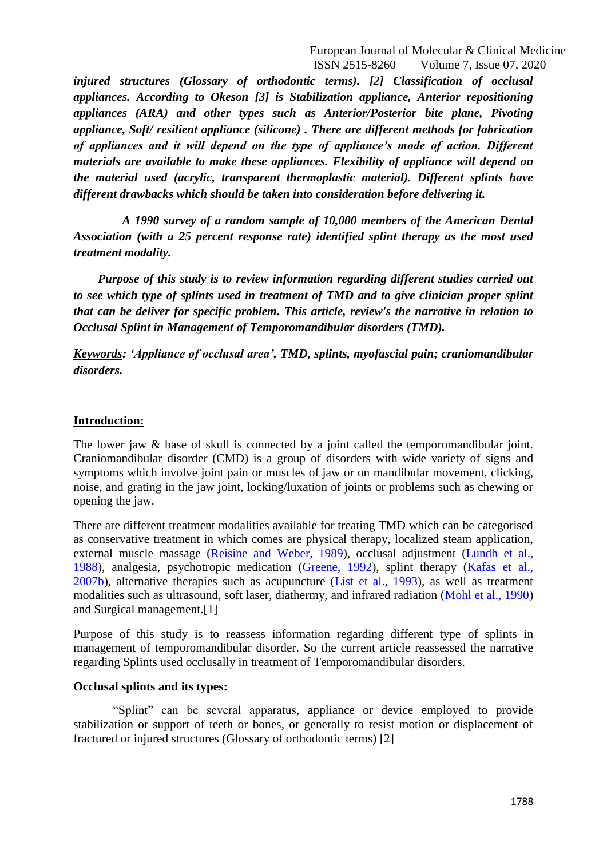*injured structures (Glossary of orthodontic terms). [2] Classification of occlusal appliances. According to Okeson [3] is Stabilization appliance, Anterior repositioning appliances (ARA) and other types such as Anterior/Posterior bite plane, Pivoting appliance, Soft/ resilient appliance (silicone) . There are different methods for fabrication of appliances and it will depend on the type of appliance"s mode of action. Different materials are available to make these appliances. Flexibility of appliance will depend on the material used (acrylic, transparent thermoplastic material). Different splints have different drawbacks which should be taken into consideration before delivering it.* 

 *A 1990 survey of a random sample of 10,000 members of the American Dental Association (with a 25 percent response rate) identified splint therapy as the most used treatment modality.*

 *Purpose of this study is to review information regarding different studies carried out to see which type of splints used in treatment of TMD and to give clinician proper splint that can be deliver for specific problem. This article, review's the narrative in relation to Occlusal Splint in Management of Temporomandibular disorders (TMD).* 

*Keywords: "Appliance of occlusal area", TMD, splints, myofascial pain; craniomandibular disorders.*

#### **Introduction:**

The lower jaw & base of skull is connected by a joint called the temporomandibular joint. Craniomandibular disorder (CMD) is a group of disorders with wide variety of signs and symptoms which involve joint pain or muscles of jaw or on mandibular movement, clicking, noise, and grating in the jaw joint, locking/luxation of joints or problems such as chewing or opening the jaw.

There are different treatment modalities available for treating TMD which can be categorised as conservative treatment in which comes are physical therapy, localized steam application, external muscle massage (Reisine and [Weber, 1989\)](https://www.ncbi.nlm.nih.gov/pmc/articles/PMC4642186/#b0140), occlusal adjustment [\(Lundh et al.,](https://www.ncbi.nlm.nih.gov/pmc/articles/PMC4642186/#b0090)  [1988\)](https://www.ncbi.nlm.nih.gov/pmc/articles/PMC4642186/#b0090), analgesia, psychotropic medication [\(Greene, 1992\)](https://www.ncbi.nlm.nih.gov/pmc/articles/PMC4642186/#b0040), splint therapy [\(Kafas et al.,](https://www.ncbi.nlm.nih.gov/pmc/articles/PMC4642186/#b0060)  [2007b\)](https://www.ncbi.nlm.nih.gov/pmc/articles/PMC4642186/#b0060), alternative therapies such as acupuncture [\(List et al., 1993\)](https://www.ncbi.nlm.nih.gov/pmc/articles/PMC4642186/#b0075), as well as treatment modalities such as ultrasound, soft laser, diathermy, and infrared radiation [\(Mohl et al., 1990\)](https://www.ncbi.nlm.nih.gov/pmc/articles/PMC4642186/#b0095) and Surgical management.[1]

Purpose of this study is to reassess information regarding different type of splints in management of temporomandibular disorder. So the current article reassessed the narrative regarding Splints used occlusally in treatment of Temporomandibular disorders.

#### **Occlusal splints and its types:**

 "Splint" can be several apparatus, appliance or device employed to provide stabilization or support of teeth or bones, or generally to resist motion or displacement of fractured or injured structures (Glossary of orthodontic terms) [2]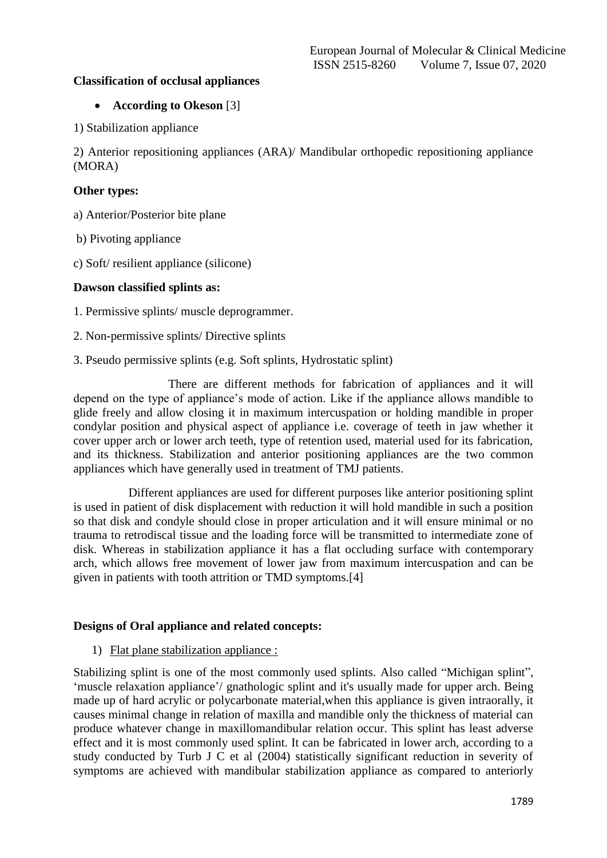## **Classification of occlusal appliances**

## **According to Okeson** [3]

1) Stabilization appliance

2) Anterior repositioning appliances (ARA)/ Mandibular orthopedic repositioning appliance (MORA)

## **Other types:**

a) Anterior/Posterior bite plane

b) Pivoting appliance

c) Soft/ resilient appliance (silicone)

## **Dawson classified splints as:**

1. Permissive splints/ muscle deprogrammer.

2. Non-permissive splints/ Directive splints

3. Pseudo permissive splints (e.g. Soft splints, Hydrostatic splint)

 There are different methods for fabrication of appliances and it will depend on the type of appliance"s mode of action. Like if the appliance allows mandible to glide freely and allow closing it in maximum intercuspation or holding mandible in proper condylar position and physical aspect of appliance i.e. coverage of teeth in jaw whether it cover upper arch or lower arch teeth, type of retention used, material used for its fabrication, and its thickness. Stabilization and anterior positioning appliances are the two common appliances which have generally used in treatment of TMJ patients.

 Different appliances are used for different purposes like anterior positioning splint is used in patient of disk displacement with reduction it will hold mandible in such a position so that disk and condyle should close in proper articulation and it will ensure minimal or no trauma to retrodiscal tissue and the loading force will be transmitted to intermediate zone of disk. Whereas in stabilization appliance it has a flat occluding surface with contemporary arch, which allows free movement of lower jaw from maximum intercuspation and can be given in patients with tooth attrition or TMD symptoms.[4]

## **Designs of Oral appliance and related concepts:**

1) Flat plane stabilization appliance :

Stabilizing splint is one of the most commonly used splints. Also called "Michigan splint", 'muscle relaxation appliance'/ gnathologic splint and it's usually made for upper arch. Being made up of hard acrylic or polycarbonate material,when this appliance is given intraorally, it causes minimal change in relation of maxilla and mandible only the thickness of material can produce whatever change in maxillomandibular relation occur. This splint has least adverse effect and it is most commonly used splint. It can be fabricated in lower arch, according to a study conducted by Turb J C et al (2004) statistically significant reduction in severity of symptoms are achieved with mandibular stabilization appliance as compared to anteriorly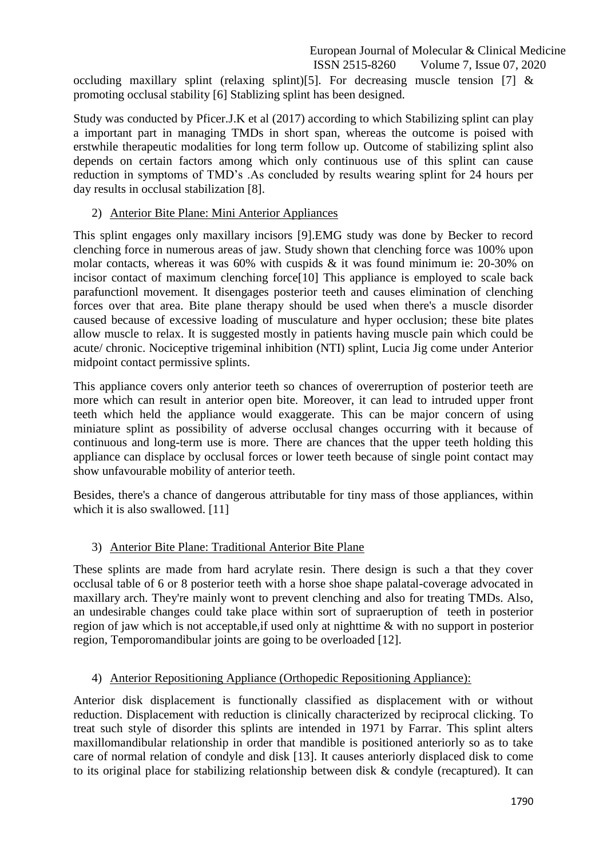occluding maxillary splint (relaxing splint)[5]. For decreasing muscle tension [7]  $\&$ promoting occlusal stability [6] Stablizing splint has been designed.

Study was conducted by Pficer.J.K et al (2017) according to which Stabilizing splint can play a important part in managing TMDs in short span, whereas the outcome is poised with erstwhile therapeutic modalities for long term follow up. Outcome of stabilizing splint also depends on certain factors among which only continuous use of this splint can cause reduction in symptoms of TMD"s .As concluded by results wearing splint for 24 hours per day results in occlusal stabilization [8].

## 2) Anterior Bite Plane: Mini Anterior Appliances

This splint engages only maxillary incisors [9].EMG study was done by Becker to record clenching force in numerous areas of jaw. Study shown that clenching force was 100% upon molar contacts, whereas it was 60% with cuspids & it was found minimum ie: 20-30% on incisor contact of maximum clenching force[10] This appliance is employed to scale back parafunctionl movement. It disengages posterior teeth and causes elimination of clenching forces over that area. Bite plane therapy should be used when there's a muscle disorder caused because of excessive loading of musculature and hyper occlusion; these bite plates allow muscle to relax. It is suggested mostly in patients having muscle pain which could be acute/ chronic. Nociceptive trigeminal inhibition (NTI) splint, Lucia Jig come under Anterior midpoint contact permissive splints.

This appliance covers only anterior teeth so chances of overerruption of posterior teeth are more which can result in anterior open bite. Moreover, it can lead to intruded upper front teeth which held the appliance would exaggerate. This can be major concern of using miniature splint as possibility of adverse occlusal changes occurring with it because of continuous and long-term use is more. There are chances that the upper teeth holding this appliance can displace by occlusal forces or lower teeth because of single point contact may show unfavourable mobility of anterior teeth.

Besides, there's a chance of dangerous attributable for tiny mass of those appliances, within which it is also swallowed. [11]

# 3) Anterior Bite Plane: Traditional Anterior Bite Plane

These splints are made from hard acrylate resin. There design is such a that they cover occlusal table of 6 or 8 posterior teeth with a horse shoe shape palatal-coverage advocated in maxillary arch. They're mainly wont to prevent clenching and also for treating TMDs. Also, an undesirable changes could take place within sort of supraeruption of teeth in posterior region of jaw which is not acceptable,if used only at nighttime & with no support in posterior region, Temporomandibular joints are going to be overloaded [12].

# 4) Anterior Repositioning Appliance (Orthopedic Repositioning Appliance):

Anterior disk displacement is functionally classified as displacement with or without reduction. Displacement with reduction is clinically characterized by reciprocal clicking. To treat such style of disorder this splints are intended in 1971 by Farrar. This splint alters maxillomandibular relationship in order that mandible is positioned anteriorly so as to take care of normal relation of condyle and disk [13]. It causes anteriorly displaced disk to come to its original place for stabilizing relationship between disk & condyle (recaptured). It can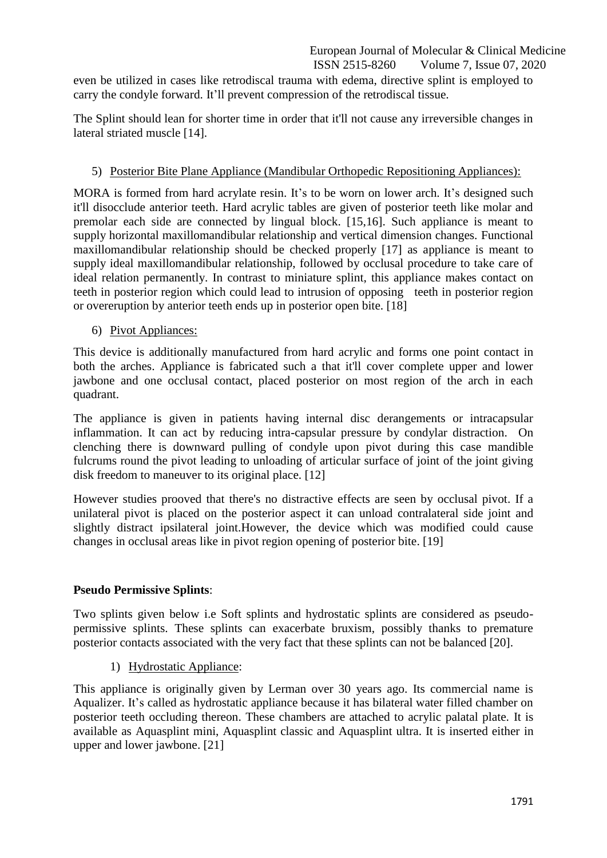even be utilized in cases like retrodiscal trauma with edema, directive splint is employed to carry the condyle forward. It'll prevent compression of the retrodiscal tissue.

The Splint should lean for shorter time in order that it'll not cause any irreversible changes in lateral striated muscle [14].

# 5) Posterior Bite Plane Appliance (Mandibular Orthopedic Repositioning Appliances):

MORA is formed from hard acrylate resin. It's to be worn on lower arch. It's designed such it'll disocclude anterior teeth. Hard acrylic tables are given of posterior teeth like molar and premolar each side are connected by lingual block. [15,16]. Such appliance is meant to supply horizontal maxillomandibular relationship and vertical dimension changes. Functional maxillomandibular relationship should be checked properly [17] as appliance is meant to supply ideal maxillomandibular relationship, followed by occlusal procedure to take care of ideal relation permanently. In contrast to miniature splint, this appliance makes contact on teeth in posterior region which could lead to intrusion of opposing teeth in posterior region or overeruption by anterior teeth ends up in posterior open bite. [18]

## 6) Pivot Appliances:

This device is additionally manufactured from hard acrylic and forms one point contact in both the arches. Appliance is fabricated such a that it'll cover complete upper and lower jawbone and one occlusal contact, placed posterior on most region of the arch in each quadrant.

The appliance is given in patients having internal disc derangements or intracapsular inflammation. It can act by reducing intra-capsular pressure by condylar distraction. On clenching there is downward pulling of condyle upon pivot during this case mandible fulcrums round the pivot leading to unloading of articular surface of joint of the joint giving disk freedom to maneuver to its original place. [12]

However studies prooved that there's no distractive effects are seen by occlusal pivot. If a unilateral pivot is placed on the posterior aspect it can unload contralateral side joint and slightly distract ipsilateral joint.However, the device which was modified could cause changes in occlusal areas like in pivot region opening of posterior bite. [19]

## **Pseudo Permissive Splints**:

Two splints given below i.e Soft splints and hydrostatic splints are considered as pseudopermissive splints. These splints can exacerbate bruxism, possibly thanks to premature posterior contacts associated with the very fact that these splints can not be balanced [20].

1) Hydrostatic Appliance:

This appliance is originally given by Lerman over 30 years ago. Its commercial name is Aqualizer. It's called as hydrostatic appliance because it has bilateral water filled chamber on posterior teeth occluding thereon. These chambers are attached to acrylic palatal plate. It is available as Aquasplint mini, Aquasplint classic and Aquasplint ultra. It is inserted either in upper and lower jawbone. [21]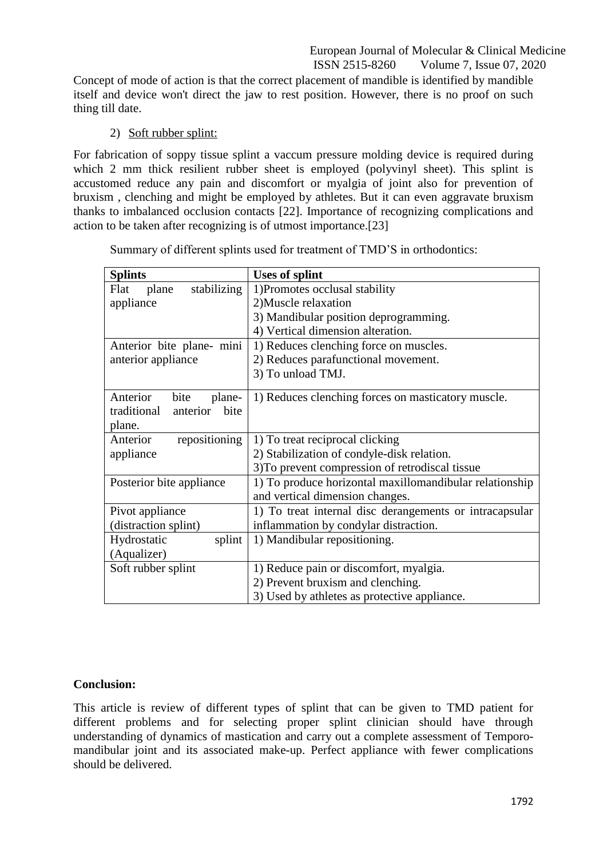Concept of mode of action is that the correct placement of mandible is identified by mandible itself and device won't direct the jaw to rest position. However, there is no proof on such thing till date.

## 2) Soft rubber splint:

For fabrication of soppy tissue splint a vaccum pressure molding device is required during which 2 mm thick resilient rubber sheet is employed (polyvinyl sheet). This splint is accustomed reduce any pain and discomfort or myalgia of joint also for prevention of bruxism , clenching and might be employed by athletes. But it can even aggravate bruxism thanks to imbalanced occlusion contacts [22]. Importance of recognizing complications and action to be taken after recognizing is of utmost importance.[23]

Summary of different splints used for treatment of TMD"S in orthodontics:

| <b>Splints</b>                                                          | <b>Uses of splint</b>                                                                      |
|-------------------------------------------------------------------------|--------------------------------------------------------------------------------------------|
| stabilizing<br>plane<br>Flat                                            | 1) Promotes occlusal stability                                                             |
| appliance                                                               | 2) Muscle relaxation                                                                       |
|                                                                         | 3) Mandibular position deprogramming.                                                      |
|                                                                         | 4) Vertical dimension alteration.                                                          |
| Anterior bite plane- mini                                               | 1) Reduces clenching force on muscles.                                                     |
| anterior appliance                                                      | 2) Reduces parafunctional movement.                                                        |
|                                                                         | 3) To unload TMJ.                                                                          |
| Anterior<br>bite<br>plane-<br>traditional<br>anterior<br>bite<br>plane. | 1) Reduces clenching forces on masticatory muscle.                                         |
| repositioning<br>Anterior                                               | 1) To treat reciprocal clicking                                                            |
| appliance                                                               | 2) Stabilization of condyle-disk relation.                                                 |
|                                                                         | 3) To prevent compression of retrodiscal tissue                                            |
| Posterior bite appliance                                                | 1) To produce horizontal maxillomandibular relationship<br>and vertical dimension changes. |
| Pivot appliance                                                         | 1) To treat internal disc derangements or intracapsular                                    |
| (distraction splint)                                                    | inflammation by condylar distraction.                                                      |
| Hydrostatic<br>splint                                                   | 1) Mandibular repositioning.                                                               |
| (Aqualizer)                                                             |                                                                                            |
| Soft rubber splint                                                      | 1) Reduce pain or discomfort, myalgia.                                                     |
|                                                                         | 2) Prevent bruxism and clenching.                                                          |
|                                                                         | 3) Used by athletes as protective appliance.                                               |

## **Conclusion:**

This article is review of different types of splint that can be given to TMD patient for different problems and for selecting proper splint clinician should have through understanding of dynamics of mastication and carry out a complete assessment of Temporomandibular joint and its associated make-up. Perfect appliance with fewer complications should be delivered.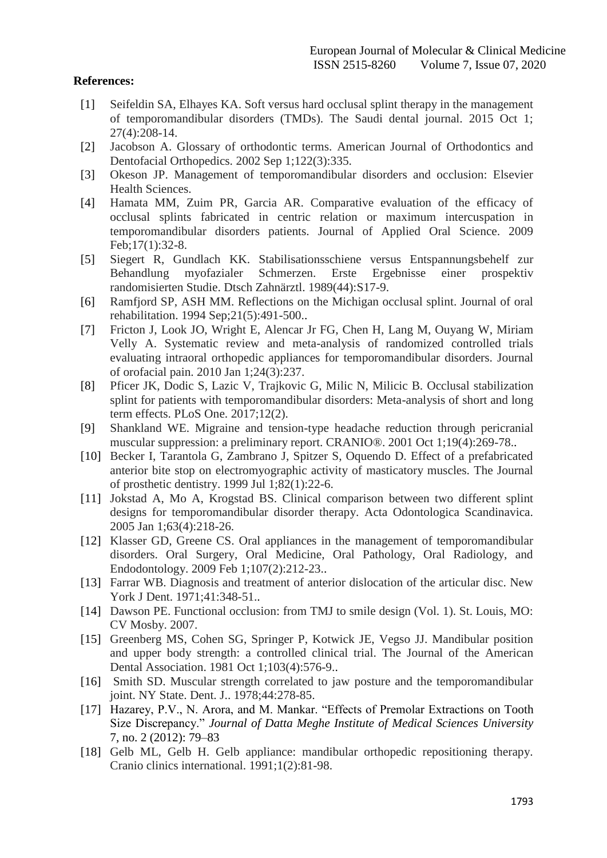## **References:**

- [1] Seifeldin SA, Elhayes KA. Soft versus hard occlusal splint therapy in the management of temporomandibular disorders (TMDs). The Saudi dental journal. 2015 Oct 1; 27(4):208-14.
- [2] Jacobson A. Glossary of orthodontic terms. American Journal of Orthodontics and Dentofacial Orthopedics. 2002 Sep 1;122(3):335.
- [3] Okeson JP. Management of temporomandibular disorders and occlusion: Elsevier Health Sciences.
- [4] Hamata MM, Zuim PR, Garcia AR. Comparative evaluation of the efficacy of occlusal splints fabricated in centric relation or maximum intercuspation in temporomandibular disorders patients. Journal of Applied Oral Science. 2009 Feb;17(1):32-8.
- [5] Siegert R, Gundlach KK. Stabilisationsschiene versus Entspannungsbehelf zur Behandlung myofazialer Schmerzen. Erste Ergebnisse einer prospektiv randomisierten Studie. Dtsch Zahnärztl. 1989(44):S17-9.
- [6] Ramfjord SP, ASH MM. Reflections on the Michigan occlusal splint. Journal of oral rehabilitation. 1994 Sep;21(5):491-500..
- [7] Fricton J, Look JO, Wright E, Alencar Jr FG, Chen H, Lang M, Ouyang W, Miriam Velly A. Systematic review and meta-analysis of randomized controlled trials evaluating intraoral orthopedic appliances for temporomandibular disorders. Journal of orofacial pain. 2010 Jan 1;24(3):237.
- [8] Pficer JK, Dodic S, Lazic V, Trajkovic G, Milic N, Milicic B. Occlusal stabilization splint for patients with temporomandibular disorders: Meta-analysis of short and long term effects. PLoS One. 2017;12(2).
- [9] Shankland WE. Migraine and tension-type headache reduction through pericranial muscular suppression: a preliminary report. CRANIO®. 2001 Oct 1;19(4):269-78..
- [10] Becker I, Tarantola G, Zambrano J, Spitzer S, Oquendo D. Effect of a prefabricated anterior bite stop on electromyographic activity of masticatory muscles. The Journal of prosthetic dentistry. 1999 Jul 1;82(1):22-6.
- [11] Jokstad A, Mo A, Krogstad BS. Clinical comparison between two different splint designs for temporomandibular disorder therapy. Acta Odontologica Scandinavica. 2005 Jan 1;63(4):218-26.
- [12] Klasser GD, Greene CS. Oral appliances in the management of temporomandibular disorders. Oral Surgery, Oral Medicine, Oral Pathology, Oral Radiology, and Endodontology. 2009 Feb 1;107(2):212-23..
- [13] Farrar WB. Diagnosis and treatment of anterior dislocation of the articular disc. New York J Dent. 1971;41:348-51..
- [14] Dawson PE. Functional occlusion: from TMJ to smile design (Vol. 1). St. Louis, MO: CV Mosby. 2007.
- [15] Greenberg MS, Cohen SG, Springer P, Kotwick JE, Vegso JJ. Mandibular position and upper body strength: a controlled clinical trial. The Journal of the American Dental Association. 1981 Oct 1;103(4):576-9..
- [16] Smith SD. Muscular strength correlated to jaw posture and the temporomandibular joint. NY State. Dent. J.. 1978;44:278-85.
- [17] Hazarey, P.V., N. Arora, and M. Mankar. "Effects of Premolar Extractions on Tooth Size Discrepancy." *Journal of Datta Meghe Institute of Medical Sciences University* 7, no. 2 (2012): 79–83
- [18] Gelb ML, Gelb H. Gelb appliance: mandibular orthopedic repositioning therapy. Cranio clinics international. 1991;1(2):81-98.